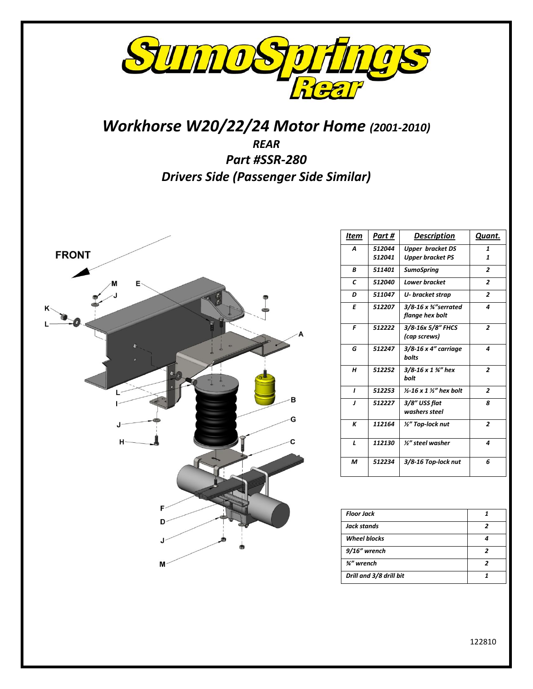

# *Workhorse W20/22/24 Motor Home (2001-2010) REAR Part #SSR-280 Drivers Side (Passenger Side Similar)*



| Item | Part #           | Description                                            | Quant.         |
|------|------------------|--------------------------------------------------------|----------------|
| A    | 512044<br>512041 | <b>Upper bracket DS</b><br><b>Upper bracket PS</b>     | 1<br>1         |
| B    | 511401           | <b>SumoSpring</b>                                      | $\overline{2}$ |
| C    | 512040           | <b>Lower bracket</b>                                   | $\overline{2}$ |
| D    | 511047           | U-bracket strap                                        | $\overline{2}$ |
| E    | 512207           | $3/8$ -16 x $\frac{3}{4}$ "serrated<br>flange hex bolt | 4              |
| F    | 512222           | 3/8-16x 5/8" FHCS<br>(cap screws)                      | $\overline{2}$ |
| G    | 512247           | $3/8 - 16 \times 4"$ carriage<br>bolts                 | 4              |
| н    | 512252           | $3/8 - 16 \times 1$ %" hex<br>bolt                     | $\overline{2}$ |
| ı    | 512253           | $1/2$ -16 x 1 $1/2$ " hex bolt                         | $\overline{z}$ |
| J    | 512227           | 3/8" USS flat<br>washers steel                         | 8              |
| К    | 112164           | 1/2" Top-lock nut                                      | $\overline{2}$ |
| L    | 112130           | 1/2" steel washer                                      | 4              |
| м    | 512234           | 3/8-16 Top-lock nut                                    | 6              |

| <b>Floor Jack</b>       |  |
|-------------------------|--|
| Jack stands             |  |
| <b>Wheel blocks</b>     |  |
| 9/16" wrench            |  |
| 3⁄4" wrench             |  |
| Drill and 3/8 drill bit |  |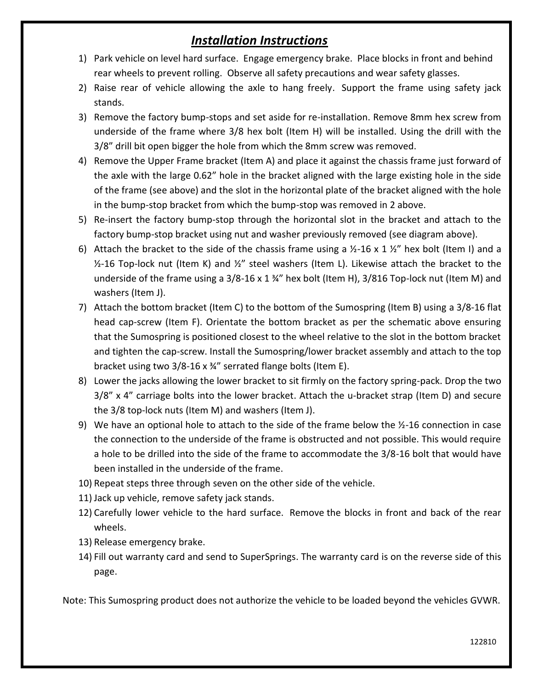# *Installation Instructions*

- 1) Park vehicle on level hard surface. Engage emergency brake. Place blocks in front and behind rear wheels to prevent rolling. Observe all safety precautions and wear safety glasses.
- 2) Raise rear of vehicle allowing the axle to hang freely. Support the frame using safety jack stands.
- 3) Remove the factory bump-stops and set aside for re-installation. Remove 8mm hex screw from underside of the frame where 3/8 hex bolt (Item H) will be installed. Using the drill with the 3/8" drill bit open bigger the hole from which the 8mm screw was removed.
- 4) Remove the Upper Frame bracket (Item A) and place it against the chassis frame just forward of the axle with the large 0.62" hole in the bracket aligned with the large existing hole in the side of the frame (see above) and the slot in the horizontal plate of the bracket aligned with the hole in the bump-stop bracket from which the bump-stop was removed in 2 above.
- 5) Re-insert the factory bump-stop through the horizontal slot in the bracket and attach to the factory bump-stop bracket using nut and washer previously removed (see diagram above).
- 6) Attach the bracket to the side of the chassis frame using a  $\frac{1}{2}$ -16 x 1  $\frac{1}{2}$  hex bolt (Item I) and a  $1/2$ -16 Top-lock nut (Item K) and  $1/2$ " steel washers (Item L). Likewise attach the bracket to the underside of the frame using a  $3/8$ -16 x 1  $\frac{3}{4}$ " hex bolt (Item H),  $3/816$  Top-lock nut (Item M) and washers (Item J).
- 7) Attach the bottom bracket (Item C) to the bottom of the Sumospring (Item B) using a 3/8-16 flat head cap-screw (Item F). Orientate the bottom bracket as per the schematic above ensuring that the Sumospring is positioned closest to the wheel relative to the slot in the bottom bracket and tighten the cap-screw. Install the Sumospring/lower bracket assembly and attach to the top bracket using two 3/8-16 x ¾" serrated flange bolts (Item E).
- 8) Lower the jacks allowing the lower bracket to sit firmly on the factory spring-pack. Drop the two 3/8" x 4" carriage bolts into the lower bracket. Attach the u-bracket strap (Item D) and secure the 3/8 top-lock nuts (Item M) and washers (Item J).
- 9) We have an optional hole to attach to the side of the frame below the  $\frac{1}{2}$ -16 connection in case the connection to the underside of the frame is obstructed and not possible. This would require a hole to be drilled into the side of the frame to accommodate the 3/8-16 bolt that would have been installed in the underside of the frame.
- 10) Repeat steps three through seven on the other side of the vehicle.
- 11) Jack up vehicle, remove safety jack stands.
- 12) Carefully lower vehicle to the hard surface. Remove the blocks in front and back of the rear wheels.
- 13) Release emergency brake.
- 14) Fill out warranty card and send to SuperSprings. The warranty card is on the reverse side of this page.

Note: This Sumospring product does not authorize the vehicle to be loaded beyond the vehicles GVWR.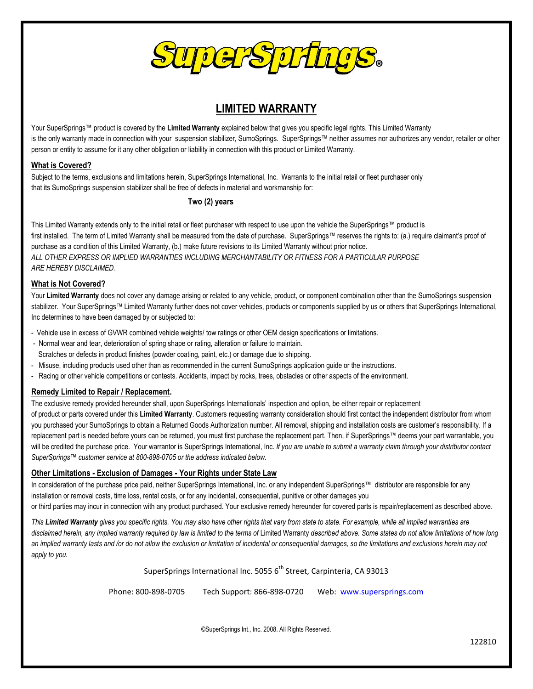

## **LIMITED WARRANTY**

Your SuperSprings™ product is covered by the **Limited Warranty** explained below that gives you specific legal rights. This Limited Warranty is the only warranty made in connection with your suspension stabilizer, SumoSprings. SuperSprings™ neither assumes nor authorizes any vendor, retailer or other person or entity to assume for it any other obligation or liability in connection with this product or Limited Warranty.

#### **What is Covered?**

Subject to the terms, exclusions and limitations herein, SuperSprings International, Inc. Warrants to the initial retail or fleet purchaser only that its SumoSprings suspension stabilizer shall be free of defects in material and workmanship for:

#### **Two (2) years**

This Limited Warranty extends only to the initial retail or fleet purchaser with respect to use upon the vehicle the SuperSprings™ product is first installed. The term of Limited Warranty shall be measured from the date of purchase. SuperSprings™ reserves the rights to: (a.) require claimant's proof of purchase as a condition of this Limited Warranty, (b.) make future revisions to its Limited Warranty without prior notice. *ALL OTHER EXPRESS OR IMPLIED WARRANTIES INCLUDING MERCHANTABILITY OR FITNESS FOR A PARTICULAR PURPOSE ARE HEREBY DISCLAIMED.*

#### **What is Not Covered?**

Your Limited Warranty does not cover any damage arising or related to any vehicle, product, or component combination other than the SumoSprings suspension stabilizer. Your SuperSprings™ Limited Warranty further does not cover vehicles, products or components supplied by us or others that SuperSprings International, Inc determines to have been damaged by or subjected to:

- Vehicle use in excess of GVWR combined vehicle weights/ tow ratings or other OEM design specifications or limitations.
- Normal wear and tear, deterioration of spring shape or rating, alteration or failure to maintain. Scratches or defects in product finishes (powder coating, paint, etc.) or damage due to shipping.
- Misuse, including products used other than as recommended in the current SumoSprings application guide or the instructions.
- Racing or other vehicle competitions or contests. Accidents, impact by rocks, trees, obstacles or other aspects of the environment.

#### **Remedy Limited to Repair / Replacement.**

The exclusive remedy provided hereunder shall, upon SuperSprings Internationals' inspection and option, be either repair or replacement

of product or parts covered under this **Limited Warranty**. Customers requesting warranty consideration should first contact the independent distributor from whom you purchased your SumoSprings to obtain a Returned Goods Authorization number. All removal, shipping and installation costs are customer's responsibility. If a replacement part is needed before yours can be returned, you must first purchase the replacement part. Then, if SuperSprings™ deems your part warrantable, you will be credited the purchase price. Your warrantor is SuperSprings International, Inc. If you are unable to submit a warranty claim through your distributor contact *SuperSprings™ customer service at 800-898-0705 or the address indicated below.* 

#### **Other Limitations - Exclusion of Damages - Your Rights under State Law**

In consideration of the purchase price paid, neither SuperSprings International, Inc. or any independent SuperSprings™ distributor are responsible for any installation or removal costs, time loss, rental costs, or for any incidental, consequential, punitive or other damages you or third parties may incur in connection with any product purchased. Your exclusive remedy hereunder for covered parts is repair/replacement as described above.

*This Limited Warranty gives you specific rights. You may also have other rights that vary from state to state. For example, while all implied warranties are*  disclaimed herein, any implied warranty required by law is limited to the terms of Limited Warranty described above. Some states do not allow limitations of how long *an implied warranty lasts and /or do not allow the exclusion or limitation of incidental or consequential damages, so the limitations and exclusions herein may not apply to you.* 

SuperSprings International Inc. 5055  $6<sup>th</sup>$  Street, Carpinteria, CA 93013

Phone: 800-898-0705 Tech Support: 866-898-0720 Web: [www.supersprings.com](http://www.supersprings.com/)

©SuperSprings Int., Inc. 2008. All Rights Reserved.